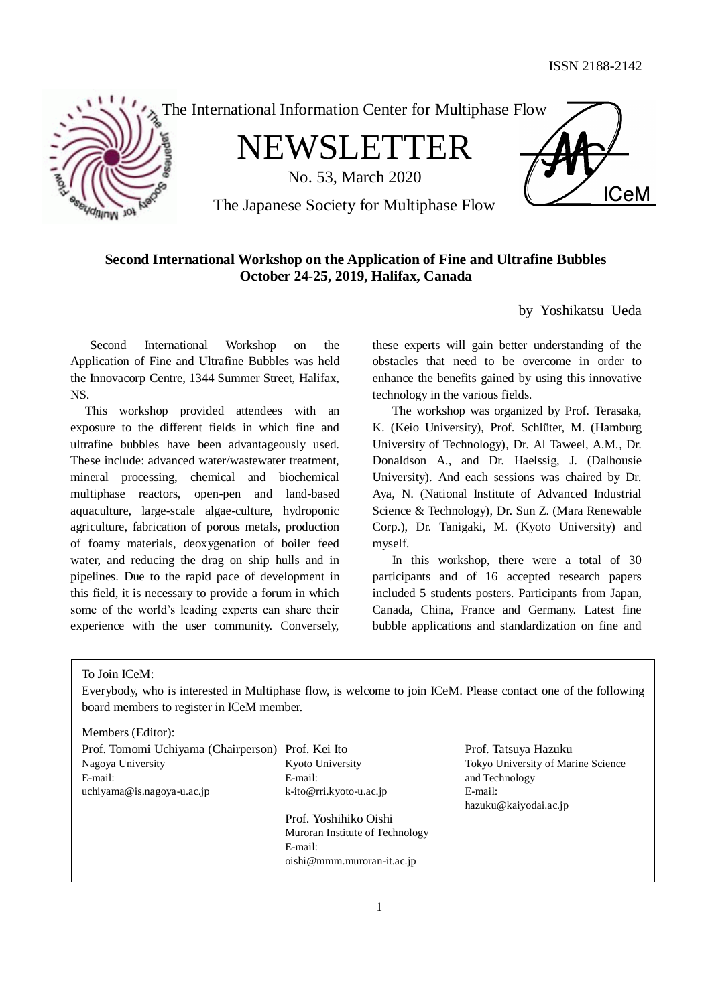**ICeM** 



The International Information Center for Multiphase Flow

NEWSLETTER

No. 53, March 2020

The Japanese Society for Multiphase Flow

# **Second International Workshop on the Application of Fine and Ultrafine Bubbles October 24-25, 2019, Halifax, Canada**

by Yoshikatsu Ueda

Second International Workshop on the Application of Fine and Ultrafine Bubbles was held the Innovacorp Centre, 1344 Summer Street, Halifax, NS.

This workshop provided attendees with an exposure to the different fields in which fine and ultrafine bubbles have been advantageously used. These include: advanced water/wastewater treatment, mineral processing, chemical and biochemical multiphase reactors, open-pen and land-based aquaculture, large-scale algae-culture, hydroponic agriculture, fabrication of porous metals, production of foamy materials, deoxygenation of boiler feed water, and reducing the drag on ship hulls and in pipelines. Due to the rapid pace of development in this field, it is necessary to provide a forum in which some of the world's leading experts can share their experience with the user community. Conversely,

these experts will gain better understanding of the obstacles that need to be overcome in order to enhance the benefits gained by using this innovative technology in the various fields.

The workshop was organized by Prof. Terasaka, K. (Keio University), Prof. Schlüter, M. (Hamburg University of Technology), Dr. Al Taweel, A.M., Dr. Donaldson A., and Dr. Haelssig, J. (Dalhousie University). And each sessions was chaired by Dr. Aya, N. (National Institute of Advanced Industrial Science & Technology), Dr. Sun Z. (Mara Renewable Corp.), Dr. Tanigaki, M. (Kyoto University) and myself.

In this workshop, there were a total of 30 participants and of 16 accepted research papers included 5 students posters. Participants from Japan, Canada, China, France and Germany. Latest fine bubble applications and standardization on fine and

To Join ICeM:

Everybody, who is interested in Multiphase flow, is welcome to join ICeM. Please contact one of the following board members to register in ICeM member.

Members (Editor):

Prof. Tomomi Uchiyama (Chairperson) Prof. Kei Ito Prof. Tatsuya Hazuku Nagoya University E-mail: Kyoto University E-mail:<br>k-ito@rri.kyoto-u.ac.jp and Technology uchiyama@is.nagoya-u.ac.jp <br>k-ito@rri.kyoto-u.ac.jp E-mail: Prof. Yoshihiko Oishi Muroran Institute of Technology E-mail: oishi@mmm.muroran-it.ac.jp

Tokyo University of Marine Science hazuku@kaiyodai.ac.jp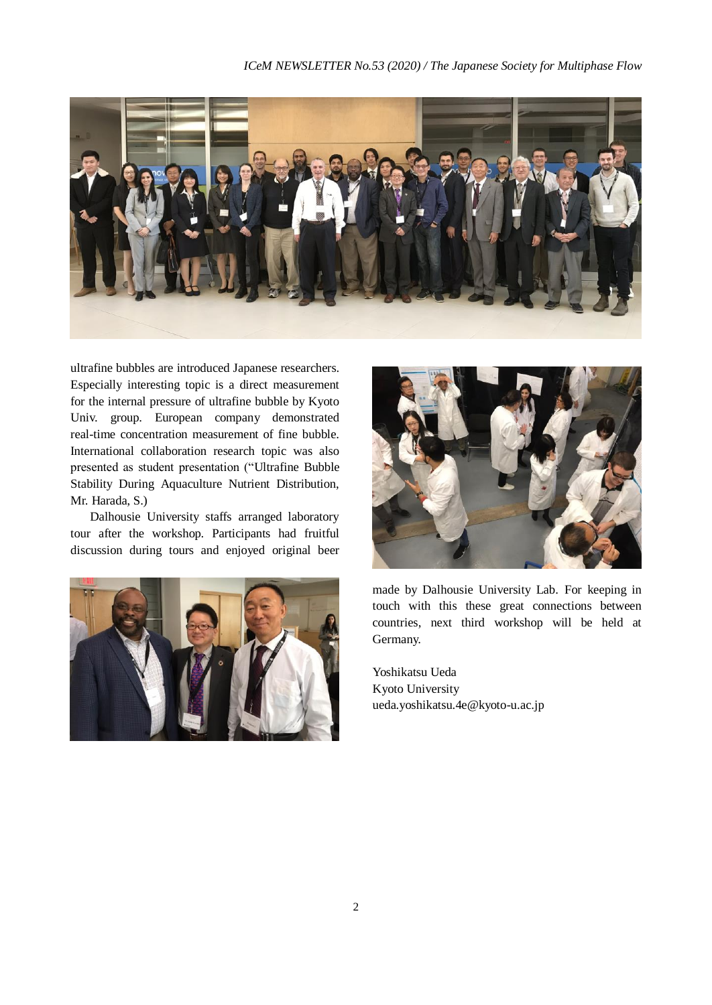

ultrafine bubbles are introduced Japanese researchers. Especially interesting topic is a direct measurement for the internal pressure of ultrafine bubble by Kyoto Univ. group. European company demonstrated real-time concentration measurement of fine bubble. International collaboration research topic was also presented as student presentation ("Ultrafine Bubble Stability During Aquaculture Nutrient Distribution, Mr. Harada, S.)

Dalhousie University staffs arranged laboratory tour after the workshop. Participants had fruitful discussion during tours and enjoyed original beer





made by Dalhousie University Lab. For keeping in touch with this these great connections between countries, next third workshop will be held at Germany.

Yoshikatsu Ueda Kyoto University ueda.yoshikatsu.4e@kyoto-u.ac.jp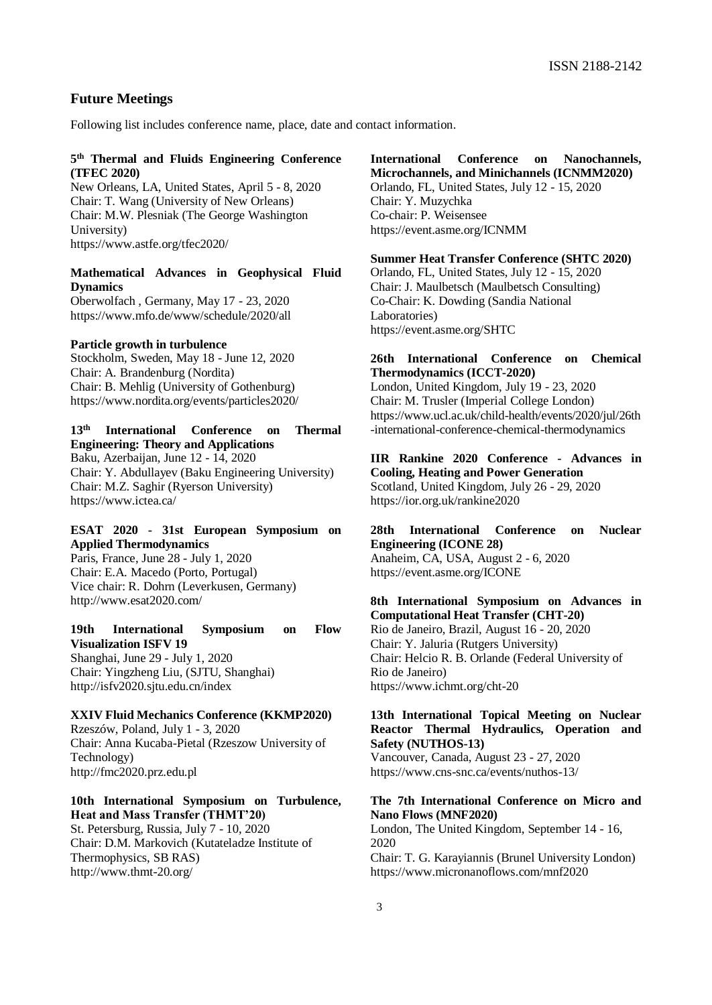## **Future Meetings**

Following list includes conference name, place, date and contact information.

### **5 th Thermal and Fluids Engineering Conference (TFEC 2020)**

New Orleans, LA, United States, April 5 - 8, 2020 Chair: T. Wang (University of New Orleans) Chair: M.W. Plesniak (The George Washington University) https://www.astfe.org/tfec2020/

# **Mathematical Advances in Geophysical Fluid Dynamics**

Oberwolfach , Germany, May 17 - 23, 2020 https://www.mfo.de/www/schedule/2020/all

#### **Particle growth in turbulence**

Stockholm, Sweden, May 18 - June 12, 2020 Chair: A. Brandenburg (Nordita) Chair: B. Mehlig (University of Gothenburg) https://www.nordita.org/events/particles2020/

# **13th International Conference on Thermal Engineering: Theory and Applications**

Baku, Azerbaijan, June 12 - 14, 2020 Chair: Y. Abdullayev (Baku Engineering University) Chair: M.Z. Saghir (Ryerson University) https://www.ictea.ca/

# **ESAT 2020 - 31st European Symposium on Applied Thermodynamics**

Paris, France, June 28 - July 1, 2020 Chair: E.A. Macedo (Porto, Portugal) Vice chair: R. Dohrn (Leverkusen, Germany) http://www.esat2020.com/

# **19th International Symposium on Flow Visualization ISFV 19**

Shanghai, June 29 - July 1, 2020 Chair: Yingzheng Liu, (SJTU, Shanghai) http://isfv2020.sjtu.edu.cn/index

# **XXIV Fluid Mechanics Conference (KKMP2020)** Rzeszów, Poland, July 1 - 3, 2020 Chair: Anna Kucaba-Pietal (Rzeszow University of Technology)

http://fmc2020.prz.edu.pl

# **10th International Symposium on Turbulence, Heat and Mass Transfer (THMT'20)**

St. Petersburg, Russia, July 7 - 10, 2020 Chair: D.M. Markovich (Kutateladze Institute of Thermophysics, SB RAS) http://www.thmt-20.org/

#### **International Conference on Nanochannels, Microchannels, and Minichannels (ICNMM2020)**

Orlando, FL, United States, July 12 - 15, 2020 Chair: Y. Muzychka Co-chair: P. Weisensee https://event.asme.org/ICNMM

#### **Summer Heat Transfer Conference (SHTC 2020)**

Orlando, FL, United States, July 12 - 15, 2020 Chair: J. Maulbetsch (Maulbetsch Consulting) Co-Chair: K. Dowding (Sandia National Laboratories) https://event.asme.org/SHTC

#### **26th International Conference on Chemical Thermodynamics (ICCT-2020)**

London, United Kingdom, July 19 - 23, 2020 Chair: M. Trusler (Imperial College London) https://www.ucl.ac.uk/child-health/events/2020/jul/26th -international-conference-chemical-thermodynamics

#### **IIR Rankine 2020 Conference - Advances in Cooling, Heating and Power Generation**

Scotland, United Kingdom, July 26 - 29, 2020 https://ior.org.uk/rankine2020

# **28th International Conference on Nuclear Engineering (ICONE 28)**

Anaheim, CA, USA, August 2 - 6, 2020 https://event.asme.org/ICONE

## **8th International Symposium on Advances in Computational Heat Transfer (CHT-20)**

Rio de Janeiro, Brazil, August 16 - 20, 2020 Chair: Y. Jaluria (Rutgers University) Chair: Helcio R. B. Orlande (Federal University of Rio de Janeiro) https://www.ichmt.org/cht-20

## **13th International Topical Meeting on Nuclear Reactor Thermal Hydraulics, Operation and Safety (NUTHOS-13)**

Vancouver, Canada, August 23 - 27, 2020 https://www.cns-snc.ca/events/nuthos-13/

#### **The 7th International Conference on Micro and Nano Flows (MNF2020)**

London, The United Kingdom, September 14 - 16, 2020 Chair: T. G. Karayiannis (Brunel University London) https://www.micronanoflows.com/mnf2020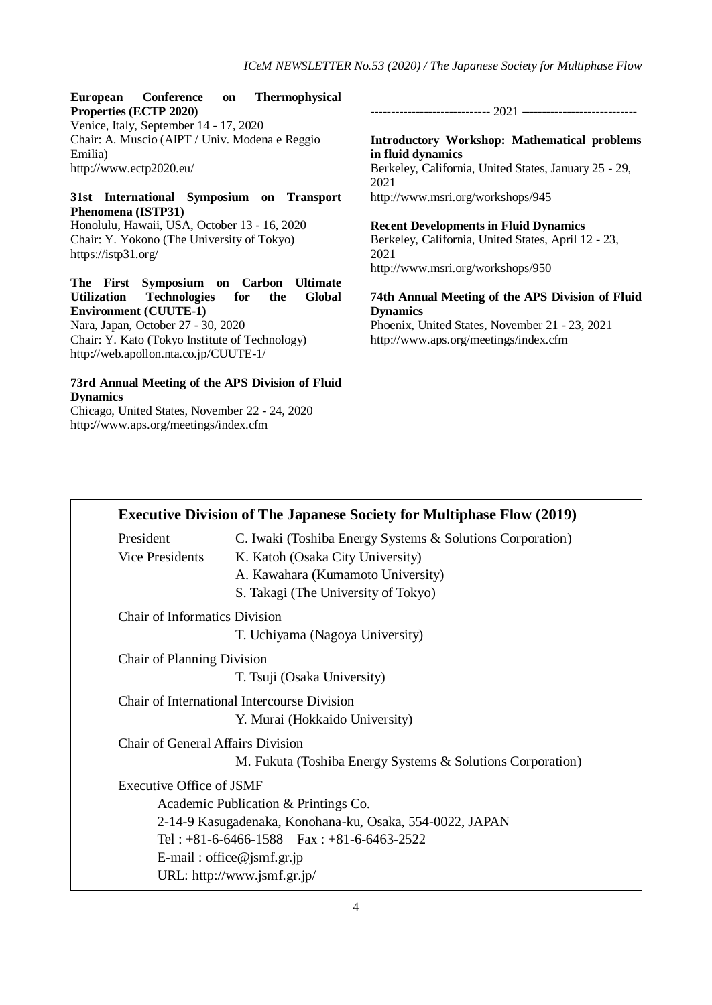### **European Conference on Thermophysical Properties (ECTP 2020)**

Venice, Italy, September 14 - 17, 2020 Chair: A. Muscio (AIPT / Univ. Modena e Reggio Emilia) http://www.ectp2020.eu/

## **31st International Symposium on Transport Phenomena (ISTP31)**

Honolulu, Hawaii, USA, October 13 - 16, 2020 Chair: Y. Yokono (The University of Tokyo) https://istp31.org/

**The First Symposium on Carbon Ultimate Utilization Technologies for the Global Environment (CUUTE-1)**

Nara, Japan, October 27 - 30, 2020 Chair: Y. Kato (Tokyo Institute of Technology) http://web.apollon.nta.co.jp/CUUTE-1/

# **73rd Annual Meeting of the APS Division of Fluid Dynamics**

Chicago, United States, November 22 - 24, 2020 http://www.aps.org/meetings/index.cfm

----------------------------- 2021 ----------------------------

**Introductory Workshop: Mathematical problems in fluid dynamics** Berkeley, California, United States, January 25 - 29, 2021 http://www.msri.org/workshops/945

### **Recent Developments in Fluid Dynamics** Berkeley, California, United States, April 12 - 23, 2021 http://www.msri.org/workshops/950

**74th Annual Meeting of the APS Division of Fluid Dynamics** Phoenix, United States, November 21 - 23, 2021 http://www.aps.org/meetings/index.cfm

|                                      | <b>Executive Division of The Japanese Society for Multiphase Flow (2019)</b>                  |
|--------------------------------------|-----------------------------------------------------------------------------------------------|
| President<br><b>Vice Presidents</b>  | C. Iwaki (Toshiba Energy Systems & Solutions Corporation)<br>K. Katoh (Osaka City University) |
|                                      | A. Kawahara (Kumamoto University)<br>S. Takagi (The University of Tokyo)                      |
| <b>Chair of Informatics Division</b> |                                                                                               |
|                                      | T. Uchiyama (Nagoya University)                                                               |
| Chair of Planning Division           |                                                                                               |
|                                      | T. Tsuji (Osaka University)                                                                   |
|                                      | Chair of International Intercourse Division                                                   |
|                                      | Y. Murai (Hokkaido University)                                                                |
| Chair of General Affairs Division    |                                                                                               |
|                                      | M. Fukuta (Toshiba Energy Systems & Solutions Corporation)                                    |
| Executive Office of JSMF             |                                                                                               |
|                                      | Academic Publication & Printings Co.                                                          |
|                                      | 2-14-9 Kasugadenaka, Konohana-ku, Osaka, 554-0022, JAPAN                                      |
|                                      | Tel: $+81-6-6466-1588$ Fax: $+81-6-6463-2522$                                                 |
|                                      | E-mail: office@jsmf.gr.jp                                                                     |
|                                      | URL: http://www.jsmf.gr.jp/                                                                   |